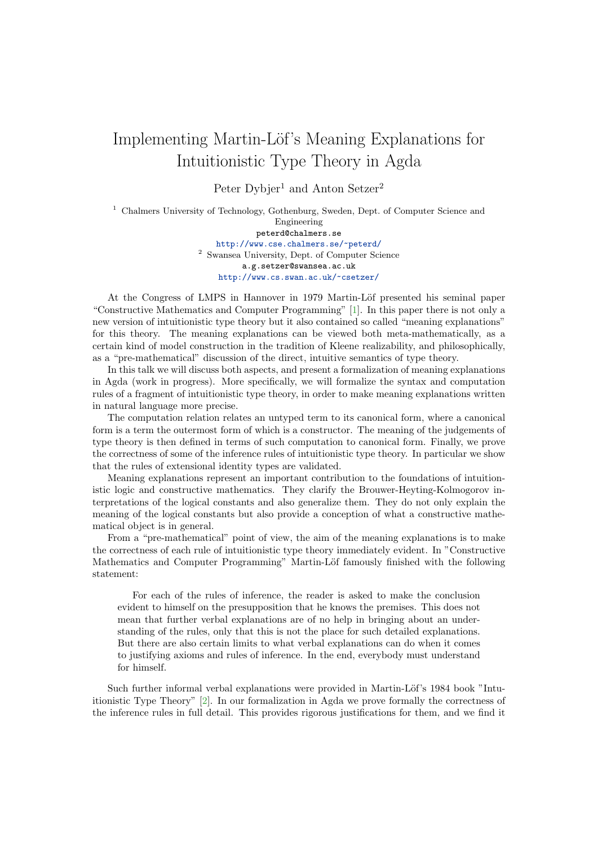## Implementing Martin-Löf's Meaning Explanations for Intuitionistic Type Theory in Agda

Peter Dybjer<sup>1</sup> and Anton Setzer<sup>2</sup>

<sup>1</sup> Chalmers University of Technology, Gothenburg, Sweden, Dept. of Computer Science and Engineering peterd@chalmers.se <http://www.cse.chalmers.se/~peterd/> <sup>2</sup> Swansea University, Dept. of Computer Science a.g.setzer@swansea.ac.uk <http://www.cs.swan.ac.uk/~csetzer/>

At the Congress of LMPS in Hannover in 1979 Martin-Löf presented his seminal paper "Constructive Mathematics and Computer Programming" [\[1\]](#page-1-0). In this paper there is not only a new version of intuitionistic type theory but it also contained so called "meaning explanations" for this theory. The meaning explanations can be viewed both meta-mathematically, as a certain kind of model construction in the tradition of Kleene realizability, and philosophically, as a "pre-mathematical" discussion of the direct, intuitive semantics of type theory.

In this talk we will discuss both aspects, and present a formalization of meaning explanations in Agda (work in progress). More specifically, we will formalize the syntax and computation rules of a fragment of intuitionistic type theory, in order to make meaning explanations written in natural language more precise.

The computation relation relates an untyped term to its canonical form, where a canonical form is a term the outermost form of which is a constructor. The meaning of the judgements of type theory is then defined in terms of such computation to canonical form. Finally, we prove the correctness of some of the inference rules of intuitionistic type theory. In particular we show that the rules of extensional identity types are validated.

Meaning explanations represent an important contribution to the foundations of intuitionistic logic and constructive mathematics. They clarify the Brouwer-Heyting-Kolmogorov interpretations of the logical constants and also generalize them. They do not only explain the meaning of the logical constants but also provide a conception of what a constructive mathematical object is in general.

From a "pre-mathematical" point of view, the aim of the meaning explanations is to make the correctness of each rule of intuitionistic type theory immediately evident. In "Constructive Mathematics and Computer Programming" Martin-Löf famously finished with the following statement:

For each of the rules of inference, the reader is asked to make the conclusion evident to himself on the presupposition that he knows the premises. This does not mean that further verbal explanations are of no help in bringing about an understanding of the rules, only that this is not the place for such detailed explanations. But there are also certain limits to what verbal explanations can do when it comes to justifying axioms and rules of inference. In the end, everybody must understand for himself.

Such further informal verbal explanations were provided in Martin-Löf's 1984 book "Intuitionistic Type Theory" [\[2\]](#page-1-1). In our formalization in Agda we prove formally the correctness of the inference rules in full detail. This provides rigorous justifications for them, and we find it